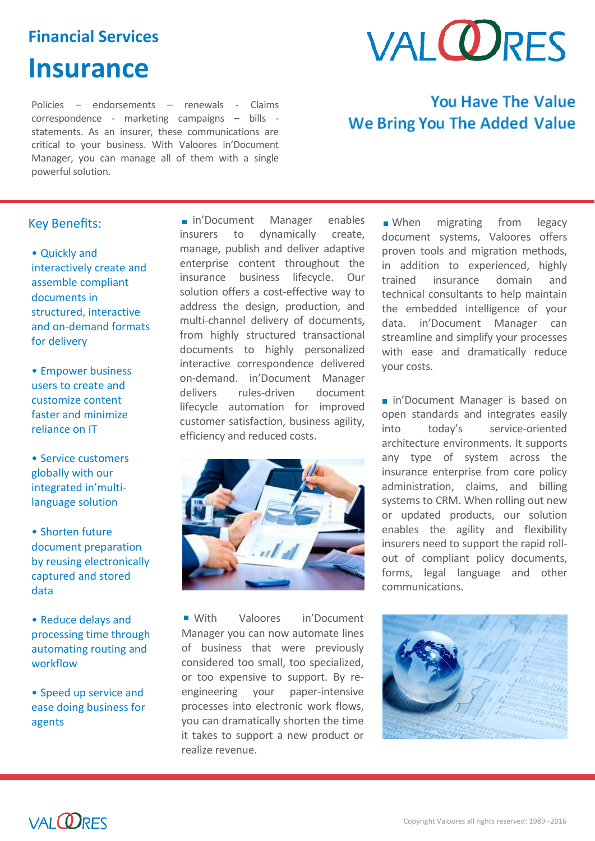### **Financial Services**

# **Insurance**

Policies – endorsements – renewals - Claims correspondence - marketing campaigns – bills statements. As an insurer, these communications are critical to your business. With Valoores in'Document Manager, you can manage all of them with a single powerful solution.

# **VAI ODRES**

## **You Have The Value We Bring You The Added Value**

#### Key Benefits:

• Quickly and interactively create and assemble compliant documents in structured, interactive and on-demand formats for delivery

• Empower business users to create and customize content faster and minimize reliance on IT

• Service customers globally with our integrated in'multilanguage solution

• Shorten future document preparation by reusing electronically captured and stored data

• Reduce delays and processing time through automating routing and workflow

• Speed up service and ease doing business for agents

I

nin'Document Manager enables insurers to dynamically create, manage, publish and deliver adaptive enterprise content throughout the insurance business lifecycle. Our solution offers a cost-effective way to address the design, production, and multi-channel delivery of documents, from highly structured transactional documents to highly personalized interactive correspondence delivered on-demand. in'Document Manager delivers rules-driven document lifecycle automation for improved customer satisfaction, business agility, efficiency and reduced costs.



With Valoores in'Document Manager you can now automate lines of business that were previously considered too small, too specialized, or too expensive to support. By reengineering your paper-intensive processes into electronic work flows, you can dramatically shorten the time it takes to support a new product or realize revenue.

**No.** When migrating from legacy document systems, Valoores offers proven tools and migration methods, in addition to experienced, highly trained insurance domain and technical consultants to help maintain the embedded intelligence of your data. in'Document Manager can streamline and simplify your processes with ease and dramatically reduce your costs.

**in'Document Manager is based on** open standards and integrates easily into today's service-oriented architecture environments. It supports any type of system across the insurance enterprise from core policy administration, claims, and billing systems to CRM. When rolling out new or updated products, our solution enables the agility and flexibility insurers need to support the rapid rollout of compliant policy documents, forms, legal language and other communications.